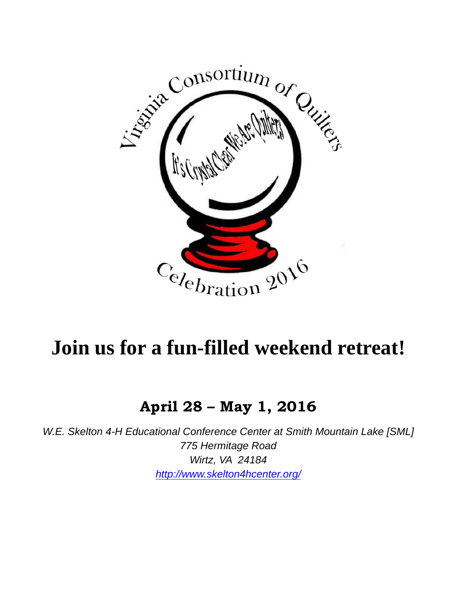

# **Join us for a fun-filled weekend retreat!**

### **April 28 – May 1, 2016**

*W.E. Skelton 4-H Educational Conference Center at Smith Mountain Lake [SML] 775 Hermitage Road Wirtz, VA 24184 http://www.skelton4hcenter.org/*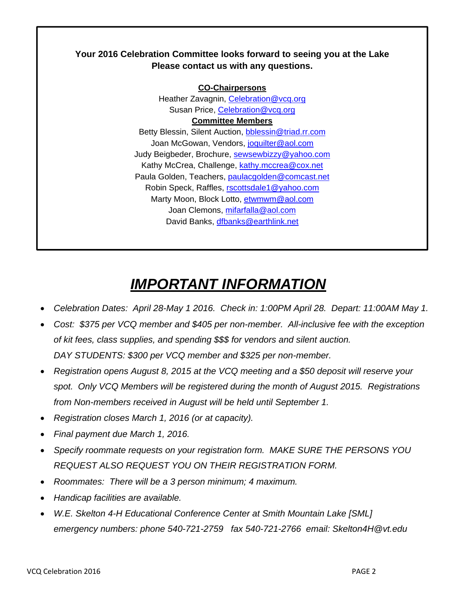#### **Your 2016 Celebration Committee looks forward to seeing you at the Lake Please contact us with any questions.**

**CO-Chairpersons**  Heather Zavagnin, Celebration@vcq.org Susan Price, Celebration@vcq.org **Committee Members**  Betty Blessin, Silent Auction, bblessin@triad.rr.com Joan McGowan, Vendors, joquilter@aol.com Judy Beigbeder, Brochure, sewsewbizzy@yahoo.com Kathy McCrea, Challenge, kathy.mccrea@cox.net Paula Golden, Teachers, paulacgolden@comcast.net Robin Speck, Raffles, rscottsdale1@yahoo.com Marty Moon, Block Lotto, etwmwm@aol.com Joan Clemons, mifarfalla@aol.com David Banks, dfbanks@earthlink.net

# *IMPORTANT INFORMATION*

- *Celebration Dates: April 28-May 1 2016. Check in: 1:00PM April 28. Depart: 11:00AM May 1.*
- *Cost: \$375 per VCQ member and \$405 per non-member. All-inclusive fee with the exception of kit fees, class supplies, and spending \$\$\$ for vendors and silent auction. DAY STUDENTS: \$300 per VCQ member and \$325 per non-member.*
- *Registration opens August 8, 2015 at the VCQ meeting and a \$50 deposit will reserve your spot. Only VCQ Members will be registered during the month of August 2015. Registrations from Non-members received in August will be held until September 1.*
- *Registration closes March 1, 2016 (or at capacity).*
- *Final payment due March 1, 2016.*
- *Specify roommate requests on your registration form. MAKE SURE THE PERSONS YOU REQUEST ALSO REQUEST YOU ON THEIR REGISTRATION FORM.*
- *Roommates: There will be a 3 person minimum; 4 maximum.*
- *Handicap facilities are available.*
- *W.E. Skelton 4-H Educational Conference Center at Smith Mountain Lake [SML] emergency numbers: phone 540-721-2759 fax 540-721-2766 email: Skelton4H@vt.edu*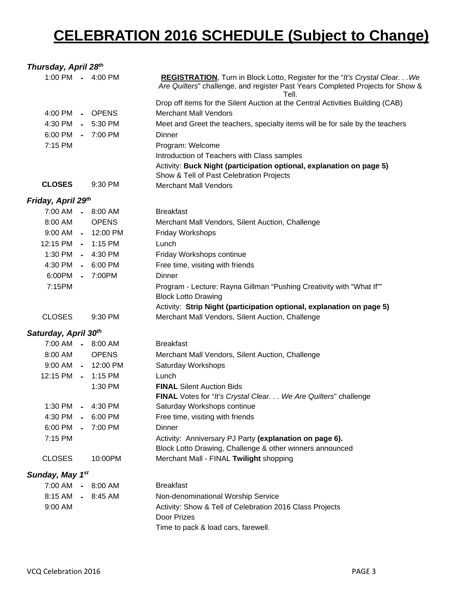## **CELEBRATION 2016 SCHEDULE (Subject to Change)**

| Thursday, April 28 <sup>th</sup> |                |                      |                                                                                                                                                                        |
|----------------------------------|----------------|----------------------|------------------------------------------------------------------------------------------------------------------------------------------------------------------------|
|                                  |                | 1:00 PM - 4:00 PM    | REGISTRATION, Turn in Block Lotto, Register for the "It's Crystal Clear. We<br>Are Quilters" challenge, and register Past Years Completed Projects for Show &<br>Tell. |
|                                  |                |                      | Drop off items for the Silent Auction at the Central Activities Building (CAB)                                                                                         |
| 4:00 PM                          |                | - OPENS              | <b>Merchant Mall Vendors</b>                                                                                                                                           |
| 4:30 PM                          |                | $-5:30$ PM           | Meet and Greet the teachers, specialty items will be for sale by the teachers                                                                                          |
| 6:00 PM                          |                | $-7:00$ PM           | Dinner                                                                                                                                                                 |
| 7:15 PM                          |                |                      | Program: Welcome                                                                                                                                                       |
|                                  |                |                      | Introduction of Teachers with Class samples                                                                                                                            |
|                                  |                |                      | Activity: Buck Night (participation optional, explanation on page 5)<br>Show & Tell of Past Celebration Projects                                                       |
| <b>CLOSES</b>                    |                | 9:30 PM              | <b>Merchant Mall Vendors</b>                                                                                                                                           |
| Friday, April 29th               |                |                      |                                                                                                                                                                        |
| 7:00 AM                          |                | $-8:00$ AM           | <b>Breakfast</b>                                                                                                                                                       |
| 8:00 AM                          |                | <b>OPENS</b>         | Merchant Mall Vendors, Silent Auction, Challenge                                                                                                                       |
|                                  |                | 9:00 AM - 12:00 PM   | Friday Workshops                                                                                                                                                       |
| 12:15 PM - 1:15 PM               |                |                      | Lunch                                                                                                                                                                  |
| 1:30 PM                          |                | $-4:30$ PM           | Friday Workshops continue                                                                                                                                              |
| 4:30 PM                          |                | $-6:00 \, \text{PM}$ | Free time, visiting with friends                                                                                                                                       |
| 6:00PM                           |                | $-7:00PM$            | Dinner                                                                                                                                                                 |
| 7:15PM                           |                |                      | Program - Lecture: Rayna Gillman "Pushing Creativity with "What If""                                                                                                   |
|                                  |                |                      | <b>Block Lotto Drawing</b>                                                                                                                                             |
|                                  |                |                      | Activity: Strip Night (participation optional, explanation on page 5)                                                                                                  |
| <b>CLOSES</b>                    |                | 9:30 PM              | Merchant Mall Vendors, Silent Auction, Challenge                                                                                                                       |
| Saturday, April 30th             |                |                      |                                                                                                                                                                        |
| 7:00 AM - 8:00 AM                |                |                      | <b>Breakfast</b>                                                                                                                                                       |
| 8:00 AM                          |                | <b>OPENS</b>         | Merchant Mall Vendors, Silent Auction, Challenge                                                                                                                       |
| 9:00 AM                          |                | $-12:00 \text{ PM}$  | Saturday Workshops                                                                                                                                                     |
| 12:15 PM - 1:15 PM               |                |                      | Lunch                                                                                                                                                                  |
|                                  |                | 1:30 PM              | <b>FINAL Silent Auction Bids</b>                                                                                                                                       |
|                                  |                |                      | FINAL Votes for "It's Crystal Clear. We Are Quilters" challenge                                                                                                        |
| 1:30 PM                          |                | $-4:30$ PM           | Saturday Workshops continue                                                                                                                                            |
| 4:30 PM                          |                | $-6:00$ PM           | Free time, visiting with friends                                                                                                                                       |
| 6:00 PM                          | $\blacksquare$ | 7:00 PM              | Dinner                                                                                                                                                                 |
| 7:15 PM                          |                |                      | Activity: Anniversary PJ Party (explanation on page 6).                                                                                                                |
|                                  |                |                      | Block Lotto Drawing, Challenge & other winners announced                                                                                                               |
| <b>CLOSES</b>                    |                | 10:00PM              | Merchant Mall - FINAL Twilight shopping                                                                                                                                |
| Sunday, May 1st                  |                |                      |                                                                                                                                                                        |
| 7:00 AM                          |                | $-8:00$ AM           | <b>Breakfast</b>                                                                                                                                                       |
| 8:15 AM                          |                | $-8:45$ AM           | Non-denominational Worship Service                                                                                                                                     |
| 9:00 AM                          |                |                      | Activity: Show & Tell of Celebration 2016 Class Projects<br>Door Prizes                                                                                                |
|                                  |                |                      | Time to pack & load cars, farewell.                                                                                                                                    |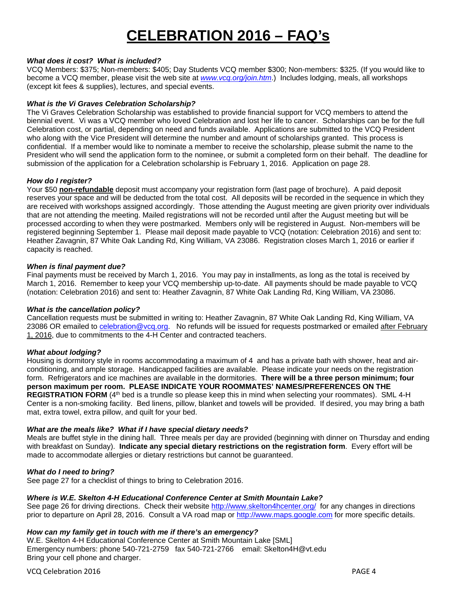### **CELEBRATION 2016 – FAQ's**

#### *What does it cost? What is included?*

VCQ Members: \$375; Non-members: \$405; Day Students VCQ member \$300; Non-members: \$325. (If you would like to become a VCQ member, please visit the web site at *www.vcq.org/join.htm*.) Includes lodging, meals, all workshops (except kit fees & supplies), lectures, and special events.

#### *What is the Vi Graves Celebration Scholarship?*

The Vi Graves Celebration Scholarship was established to provide financial support for VCQ members to attend the biennial event. Vi was a VCQ member who loved Celebration and lost her life to cancer. Scholarships can be for the full Celebration cost, or partial, depending on need and funds available. Applications are submitted to the VCQ President who along with the Vice President will determine the number and amount of scholarships granted. This process is confidential. If a member would like to nominate a member to receive the scholarship, please submit the name to the President who will send the application form to the nominee, or submit a completed form on their behalf. The deadline for submission of the application for a Celebration scholarship is February 1, 2016. Application on page 28.

#### *How do I register?*

Your \$50 **non-refundable** deposit must accompany your registration form (last page of brochure). A paid deposit reserves your space and will be deducted from the total cost. All deposits will be recorded in the sequence in which they are received with workshops assigned accordingly. Those attending the August meeting are given priority over individuals that are not attending the meeting. Mailed registrations will not be recorded until after the August meeting but will be processed according to when they were postmarked. Members only will be registered in August. Non-members will be registered beginning September 1. Please mail deposit made payable to VCQ (notation: Celebration 2016) and sent to: Heather Zavagnin, 87 White Oak Landing Rd, King William, VA 23086. Registration closes March 1, 2016 or earlier if capacity is reached.

#### *When is final payment due?*

Final payments must be received by March 1, 2016. You may pay in installments, as long as the total is received by March 1, 2016. Remember to keep your VCQ membership up-to-date. All payments should be made payable to VCQ (notation: Celebration 2016) and sent to: Heather Zavagnin, 87 White Oak Landing Rd, King William, VA 23086.

#### *What is the cancellation policy?*

Cancellation requests must be submitted in writing to: Heather Zavagnin, 87 White Oak Landing Rd, King William, VA 23086 OR emailed to celebration @vcq.org. No refunds will be issued for requests postmarked or emailed after February 1, 2016, due to commitments to the 4-H Center and contracted teachers.

#### *What about lodging?*

Housing is dormitory style in rooms accommodating a maximum of 4 and has a private bath with shower, heat and airconditioning, and ample storage. Handicapped facilities are available. Please indicate your needs on the registration form. Refrigerators and ice machines are available in the dormitories. **There will be a three person minimum; four person maximum per room. PLEASE INDICATE YOUR ROOMMATES' NAMES/PREFERENCES ON THE REGISTRATION FORM** (4<sup>th</sup> bed is a trundle so please keep this in mind when selecting your roommates). SML 4-H Center is a non-smoking facility. Bed linens, pillow, blanket and towels will be provided. If desired, you may bring a bath mat, extra towel, extra pillow, and quilt for your bed.

#### *What are the meals like? What if I have special dietary needs?*

Meals are buffet style in the dining hall. Three meals per day are provided (beginning with dinner on Thursday and ending with breakfast on Sunday). **Indicate any special dietary restrictions on the registration form**. Every effort will be made to accommodate allergies or dietary restrictions but cannot be guaranteed.

#### *What do I need to bring?*

See page 27 for a checklist of things to bring to Celebration 2016.

#### *Where is W.E. Skelton 4-H Educational Conference Center at Smith Mountain Lake?*

See page 26 for driving directions. Check their website http://www.skelton4hcenter.org/ for any changes in directions prior to departure on April 28, 2016. Consult a VA road map or http://www.maps.google.com for more specific details.

#### *How can my family get in touch with me if there's an emergency?*

W.E. Skelton 4-H Educational Conference Center at Smith Mountain Lake [SML] Emergency numbers: phone 540-721-2759 fax 540-721-2766 email: Skelton4H@vt.edu Bring your cell phone and charger.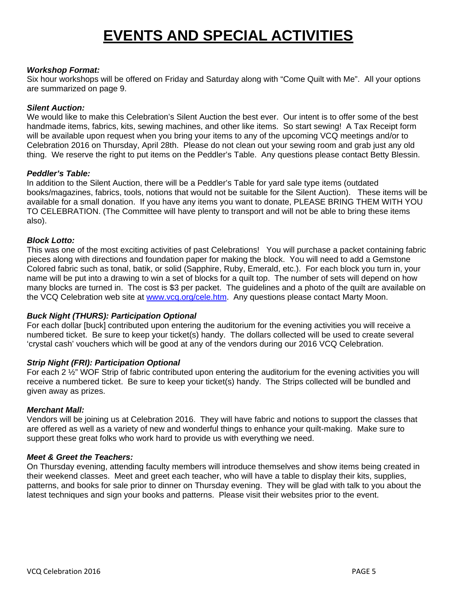### **EVENTS AND SPECIAL ACTIVITIES**

#### *Workshop Format:*

Six hour workshops will be offered on Friday and Saturday along with "Come Quilt with Me". All your options are summarized on page 9.

#### *Silent Auction:*

We would like to make this Celebration's Silent Auction the best ever. Our intent is to offer some of the best handmade items, fabrics, kits, sewing machines, and other like items. So start sewing! A Tax Receipt form will be available upon request when you bring your items to any of the upcoming VCQ meetings and/or to Celebration 2016 on Thursday, April 28th. Please do not clean out your sewing room and grab just any old thing. We reserve the right to put items on the Peddler's Table. Any questions please contact Betty Blessin.

#### *Peddler's Table:*

In addition to the Silent Auction, there will be a Peddler's Table for yard sale type items (outdated books/magazines, fabrics, tools, notions that would not be suitable for the Silent Auction). These items will be available for a small donation. If you have any items you want to donate, PLEASE BRING THEM WITH YOU TO CELEBRATION. (The Committee will have plenty to transport and will not be able to bring these items also).

#### *Block Lotto:*

This was one of the most exciting activities of past Celebrations! You will purchase a packet containing fabric pieces along with directions and foundation paper for making the block. You will need to add a Gemstone Colored fabric such as tonal, batik, or solid (Sapphire, Ruby, Emerald, etc.). For each block you turn in, your name will be put into a drawing to win a set of blocks for a quilt top. The number of sets will depend on how many blocks are turned in. The cost is \$3 per packet. The guidelines and a photo of the quilt are available on the VCQ Celebration web site at www.vcq.org/cele.htm. Any questions please contact Marty Moon.

#### *Buck Night (THURS): Participation Optional*

For each dollar [buck] contributed upon entering the auditorium for the evening activities you will receive a numbered ticket. Be sure to keep your ticket(s) handy. The dollars collected will be used to create several 'crystal cash' vouchers which will be good at any of the vendors during our 2016 VCQ Celebration.

#### *Strip Night (FRI): Participation Optional*

For each 2  $\frac{1}{2}$ " WOF Strip of fabric contributed upon entering the auditorium for the evening activities you will receive a numbered ticket. Be sure to keep your ticket(s) handy. The Strips collected will be bundled and given away as prizes.

#### *Merchant Mall:*

Vendors will be joining us at Celebration 2016. They will have fabric and notions to support the classes that are offered as well as a variety of new and wonderful things to enhance your quilt-making. Make sure to support these great folks who work hard to provide us with everything we need.

#### *Meet & Greet the Teachers:*

On Thursday evening, attending faculty members will introduce themselves and show items being created in their weekend classes. Meet and greet each teacher, who will have a table to display their kits, supplies, patterns, and books for sale prior to dinner on Thursday evening. They will be glad with talk to you about the latest techniques and sign your books and patterns. Please visit their websites prior to the event.